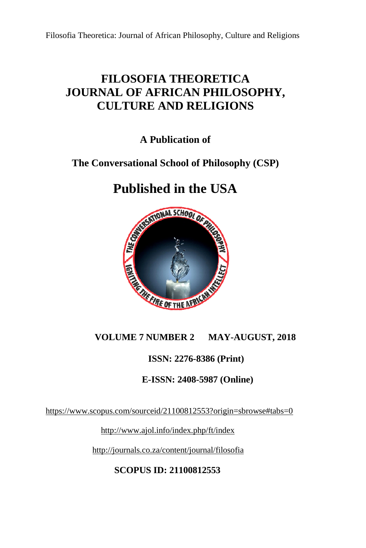## **FILOSOFIA THEORETICA JOURNAL OF AFRICAN PHILOSOPHY, CULTURE AND RELIGIONS**

**A Publication of** 

### **The Conversational School of Philosophy (CSP)**

## **Published in the USA**



#### **VOLUME 7 NUMBER 2 AUGUST, 2018**

#### **ISSN: 2276-8386 (Print)**

# **1SSN: 2276-8386 (Print)<br>E-ISSN: 2408-5987 (Online)**

https://www.scopus.com/sourceid/21100812553?origin=sbrowse#tabs=0

http://www.ajol.info/index.php/ft/index

http://journals.co.za/content/journal/filosofia

**SCOPUS ID: 21100812553**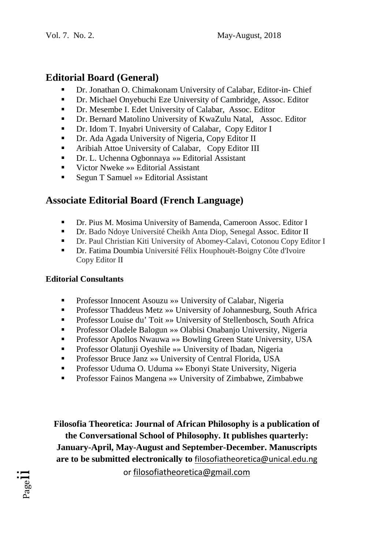#### **Editorial Board (General)**

- Dr. Jonathan O. Chimakonam University of Calabar, Editor-in- Chief
- Dr. Michael Onyebuchi Eze University of Cambridge, Assoc. Editor
- Dr. Mesembe I. Edet University of Calabar, Assoc. Editor
- Dr. Bernard Matolino University of KwaZulu Natal, Assoc. Editor
- Dr. Idom T. Inyabri University of Calabar, Copy Editor I
- Dr. Ada Agada University of Nigeria, Copy Editor II
- **Example 3** Aribiah Attoe University of Calabar, Copy Editor III
- Dr. L. Uchenna Ogbonnaya »» Editorial Assistant
- Victor Nweke »» Editorial Assistant
- Segun T Samuel » Editorial Assistant

#### **Associate Editorial Board (French Language)**

- Dr. Pius M. Mosima University of Bamenda, Cameroon Assoc. Editor I
- Dr. Bado Ndoye Université Cheikh Anta Diop, Senegal Assoc. Editor II
- Dr. Paul Christian Kiti University of Abomey-Calavi, Cotonou Copy Editor I
- Dr. Fatima Doumbia Université Félix Houphouët-Boigny Côte d'Ivoire Copy Editor II

#### **Editorial Consultants**

- Professor Innocent Asouzu »» University of Calabar, Nigeria
- Professor Thaddeus Metz »» University of Johannesburg, South Africa
- Professor Louise du' Toit »» University of Stellenbosch, South Africa
- Professor Oladele Balogun »» Olabisi Onabanjo University, Nigeria
- Professor Apollos Nwauwa »» Bowling Green State University, USA
- Professor Olatunji Oyeshile »» University of Ibadan, Nigeria
- Professor Bruce Janz »» University of Central Florida, USA
- Professor Uduma O. Uduma »» Ebonyi State University, Nigeria
- Professor Fainos Mangena »» University of Zimbabwe, Zimbabwe

**Filosofia Theoretica: Journal of African Philosophy is a publication of the Conversational School of Philosophy. It publishes quarterly: January-April, May-August and September-December. Manuscripts are to be submitted electronically to** filosofiatheoretica@unical.edu.ng

or filosofiatheoretica@gmail.com

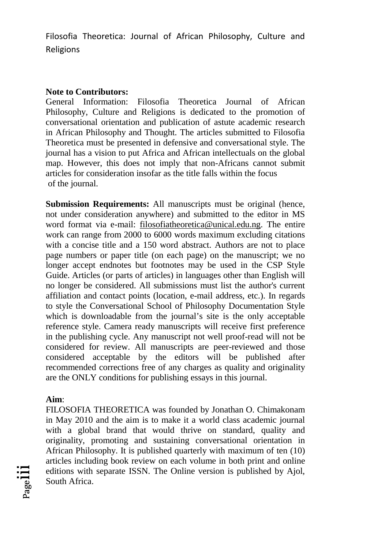Filosofia Theoretica: Journal of African Philosophy, Culture and Religions

#### **Note to Contributors:**

General Information: Filosofia Theoretica Journal of African Philosophy, Culture and Religions is dedicated to the promotion of conversational orientation and publication of astute academic research in African Philosophy and Thought. The articles submitted to Filosofia Theoretica must be presented in defensive and conversational style. The journal has a vision to put Africa and African intellectuals on the global map. However, this does not imply that non-Africans cannot submit articles for consideration insofar as the title falls within the focus of the journal.

**Submission Requirements:** All manuscripts must be original (hence, not under consideration anywhere) and submitted to the editor in MS word format via e-mail: filosofiatheoretica@unical.edu.ng. The entire work can range from 2000 to 6000 words maximum excluding citations with a concise title and a 150 word abstract. Authors are not to place page numbers or paper title (on each page) on the manuscript; we no longer accept endnotes but footnotes may be used in the CSP Style Guide. Articles (or parts of articles) in languages other than English will no longer be considered. All submissions must list the author's current affiliation and contact points (location, e-mail address, etc.). In regards to style the Conversational School of Philosophy Documentation Style which is downloadable from the journal's site is the only acceptable reference style. Camera ready manuscripts will receive first preference in the publishing cycle. Any manuscript not well proof-read will not be considered for review. All manuscripts are peer-reviewed and those considered acceptable by the editors will be published after recommended corrections free of any charges as quality and originality are the ONLY conditions for publishing essays in this journal.

#### **Aim**:

FILOSOFIA THEORETICA was founded by Jonathan O. Chimakonam in May 2010 and the aim is to make it a world class academic journal with a global brand that would thrive on standard, quality and originality, promoting and sustaining conversational orientation in African Philosophy. It is published quarterly with maximum of ten (10) articles including book review on each volume in both print and online editions with separate ISSN. The Online version is published by Ajol, South Africa.

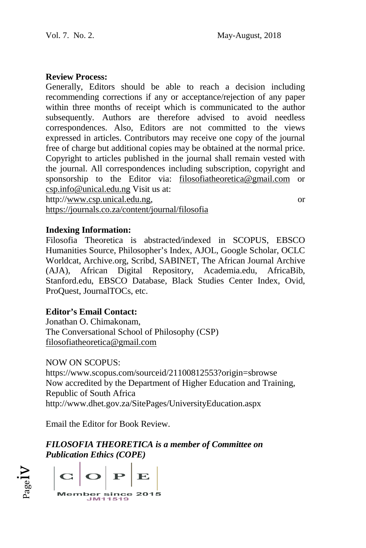#### **Review Process:**

Generally, Editors should be able to reach a decision including recommending corrections if any or acceptance/rejection of any paper within three months of receipt which is communicated to the author subsequently. Authors are therefore advised to avoid needless correspondences. Also, Editors are not committed to the views expressed in articles. Contributors may receive one copy of the journal free of charge but additional copies may be obtained at the normal price. Copyright to articles published in the journal shall remain vested with the journal. All correspondences including subscription, copyright and sponsorship to the Editor via: filosofiatheoretica@gmail.com or csp.info@unical.edu.ng Visit us at: http://www.csp.unical.edu.ng, thors are therefore advised to avoid needless<br>Also, Editors are not committed to the views<br>es. Contributors may receive one copy of the journal<br>dditional copies may be obtained at the normal price.<br>es published in the jour or

https://journals.co.za/content/journal/filosofia

#### **Indexing Information:**

Filosofia Theoretica is abstracted/indexed in SCOPUS, EBSCO Humanities Source, Philosopher's Index, AJOL, Google Scholar, OCLC Worldcat, Archive.org, Scribd, SABINET, The African Journal Archive (AJA), African Digital Repository, Academia.edu, AfricaBib, Humanities Source, Philosopher's Index, AJOL, Google Scholar, OCLC<br>Worldcat, Archive.org, Scribd, SABINET, The African Journal Archive<br>(AJA), African Digital Repository, Academia.edu, AfricaBib,<br>Stanford.edu, EBSCO Databas ProQuest, JournalTOCs, etc.

#### **Editor's Email Contact:**

Jonathan O. Chimakonam, The Conversational School of Philosophy (CSP) filosofiatheoretica@gmail.com

#### NOW ON SCOPUS:

https://www.scopus.com/sourceid/21100812553?origin=sbrowse Now accredited by the Department of Higher Education and Training, Republic of South Africa http://www.dhet.gov.za/SitePages/UniversityEducation.aspx

Email the Editor for Book Review.

*FILOSOFIA THEORETICA is a member of Committee on Publication Ethics (COPE)* 

 $V$ l $_{\rm age}$  $\mathbf P$ **Member since 2015** M11519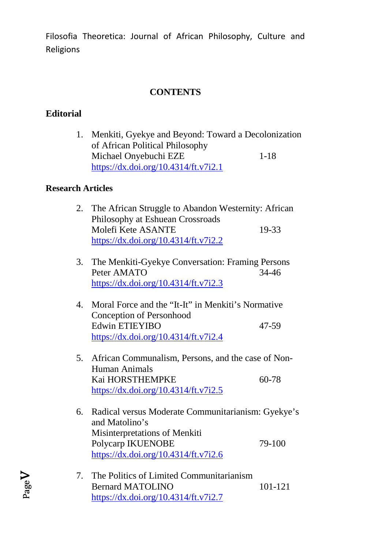Filosofia Theoretica: Journal of African Philosophy, Culture and Religions

#### **CONTENTS**

#### **Editorial**

1. Menkiti, Gyekye and Beyond: Toward a Decolonization of African Political Philosophy Michael Onyebuchi EZE 1-18 https://dx.doi.org/10.4314/ft.v7i2.1

#### **Research Articles**

| 2. | The African Struggle to Abandon Westernity: African |       |
|----|-----------------------------------------------------|-------|
|    | Philosophy at Eshuean Crossroads                    |       |
|    | Molefi Kete ASANTE                                  | 19-33 |
|    | https://dx.doi.org/10.4314/ft.v7i2.2                |       |

- 3. The Menkiti-Gyekye Conversation: Framing Persons Peter AMATO 34-46 https://dx.doi.org/10.4314/ft.v7i2.3
- 4. Moral Force and the "It-It" in Menkiti's Normative Conception of Personhood Edwin ETIEYIBO 47-59 https://dx.doi.org/10.4314/ft.v7i2.4
- 5. African Communalism, Persons, and the case of Non-Human Animals Kai HORSTHEMPKE 60-78 https://dx.doi.org/10.4314/ft.v7i2.5
- 6. Radical versus Moderate Communitarianism: Gyekye's and Matolino's Misinterpretations of Menkiti Polycarp IKUENOBE 79-100 https://dx.doi.org/10.4314/ft.v7i2.6
- 7. The Politics of Limited Communitarianism Bernard MATOLINO 101-121 https://dx.doi.org/10.4314/ft.v7i2.7

Page  $\blacktriangleright$